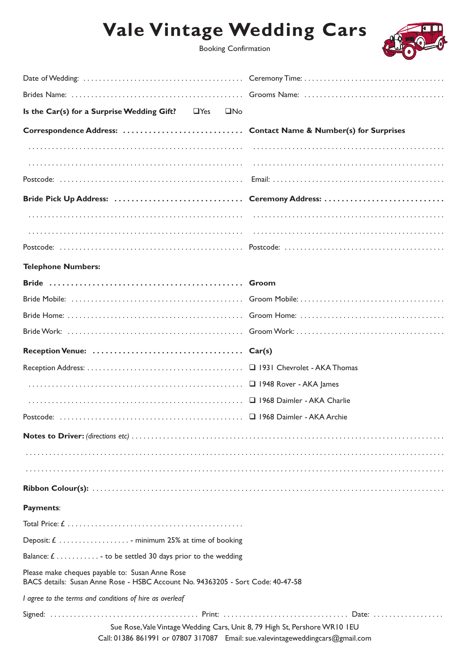## **Vale Vintage Wedding Cars**



| Is the Car(s) for a Surprise Wedding Gift? $\Box$ Yes<br>$\square$ No                                                              |  |
|------------------------------------------------------------------------------------------------------------------------------------|--|
|                                                                                                                                    |  |
|                                                                                                                                    |  |
|                                                                                                                                    |  |
|                                                                                                                                    |  |
| Bride Pick Up Address:  Ceremony Address:                                                                                          |  |
|                                                                                                                                    |  |
|                                                                                                                                    |  |
|                                                                                                                                    |  |
| <b>Telephone Numbers:</b>                                                                                                          |  |
|                                                                                                                                    |  |
|                                                                                                                                    |  |
|                                                                                                                                    |  |
|                                                                                                                                    |  |
|                                                                                                                                    |  |
|                                                                                                                                    |  |
|                                                                                                                                    |  |
|                                                                                                                                    |  |
|                                                                                                                                    |  |
|                                                                                                                                    |  |
|                                                                                                                                    |  |
|                                                                                                                                    |  |
|                                                                                                                                    |  |
| Payments:                                                                                                                          |  |
|                                                                                                                                    |  |
| Deposit: $f$ minimum 25% at time of booking                                                                                        |  |
| Balance: $f$ to be settled 30 days prior to the wedding                                                                            |  |
| Please make cheques payable to: Susan Anne Rose<br>BACS details: Susan Anne Rose - HSBC Account No. 94363205 - Sort Code: 40-47-58 |  |
| I agree to the terms and conditions of hire as overleaf                                                                            |  |
| Sue Rose, Vale Vintage Wedding Cars, Unit 8, 79 High St, Pershore WR10 IEU                                                         |  |

Call: 01386 861991 or 07807 317087 Email: sue.valevintageweddingcars@gmail.com